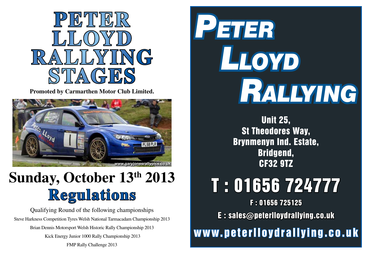

**Promoted by Carmarthen Motor Club Limited.**



## **Sunday, October 13th 2013 Regulations**

Qualifying Round of the following championships Steve Harkness Competition Tyres Welsh National Tarmacadam Championship 2013 Brian Dennis Motorsport Welsh Historic Rally Championship 2013 Kick Energy Junior 1000 Rally Championship 2013 FMP Rally Challenge 2013



Unit 25, St Theodores Way, Brynmenyn Ind. Estate, Bridgend, CF32 9TZ

# T : 01656 724777

F : 01656 725125

E : sales@peterlloydrallying.co.uk

www.peterlloydrallying.co.uk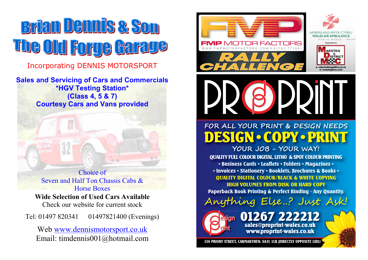## **Brian Jennis & Son** <u>The Old Forge Garage</u>

Incorporating DENNIS MOTORSPORT

**Sales and Servicing of Cars and Commercials \*HGV Testing Station\* (Class 4, 5 & 7) Courtesy Cars and Vans provided**

> Choice of Seven and Half Ton Chassis Cabs & Horse Boxes

**Wide Selection of Used Cars Available** Check our website for current stock

Tel: 01497 820341 01497821400 (Evenings)

Web www.dennismotorsport.co.uk Email: timdennis001@hotmail.com

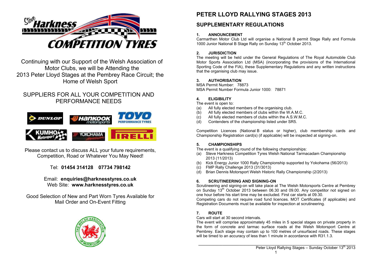

Continuing with our Support of the Welsh Association of Motor Clubs, we will be Attending the 2013 Peter Lloyd Stages at the Pembrey Race Circuit; the Home of Welsh Sport

### SUPPLIERS FOR ALL YOUR COMPETITION AND PERFORMANCE NEEDS



Please contact us to discuss ALL your future requirements, Competition, Road or Whatever You May Need!

Tel: **01454 314128 07734 798142** 

#### Email: **enquiries@harknesstyres.co.uk**  Web Site: **www.harknesstyres.co.uk**

Good Selection of New and Part Worn Tyres Available for Mail Order and On-Event Fitting



## **PETER LLOYD RALLYING STAGES 2013**

### **SUPPLEMENTARY REGULATIONS**

#### **1. ANNOUNCEMENT**

Carmarthen Motor Club Ltd will organise a National B permit Stage Rally and Formula 1000 Junior National B Stage Rally on Sunday 13<sup>th</sup> October 2013.

#### **2. JURISDICTION**

The meeting will be held under the General Regulations of The Royal Automobile Club Motor Sports Association Ltd (MSA) (incorporating the provisions of the International Sporting Code of the FIA), these Supplementary Regulations and any written instructions that the organising club may issue.

#### **3. AUTHORISATION**

MSA Permit Number: 78873 MSA Permit Number Formula Junior 1000: 78871

#### **4. ELIGIBILITY**

The event is open to:

- (a) All fully elected members of the organising club.<br>(b) All fully elected members of clubs within the W.A
- All fully elected members of clubs within the W.A.M.C.
- (c) All fully elected members of clubs within the A.S.W.M.C.
- (d) Contenders of the championship listed under SR5.

Competition Licences (National B status or higher), club membership cards and Championship Registration card(s) (if applicable) will be inspected at signing-on.

#### **5. CHAMPIONSHIPS**

The event is a qualifying round of the following championships:

- (a) Steve Harkness Competition Tyres Welsh National Tarmacadam Championship 2013 (11/2013)
- (b) Kick Energy Junior 1000 Rally Championship supported by Yokohama (56/2013)
- (c) FMP Rally Challenge 2013 (31/3013)
- (d) Brian Dennis Motorsport Welsh Historic Rally Championship (2/2013)

#### **6. SCRUTINEERING AND SIGNING-ON**

Scrutineering and signing-on will take place at The Welsh Motorsports Centre at Pembrey on Sunday 13th October 2013 between 06.30 and 09.00. Any competitor not signed on one hour before his start time may be excluded. First car starts at 09.30.

Competing cars do not require road fund licences. MOT Certificates (if applicable) and Registration Documents must be available for inspection at scrutineering.

#### **7. ROUTE**

Cars will start at 30 second intervals.

The event will comprise approximately 45 miles in 5 special stages on private property in the form of concrete and tarmac surface roads at the Welsh Motorsport Centre at Pembrey. Each stage may contain up to 100 metres of unsurfaced roads. These stages will be timed to an accuracy of less than 1 minute in accordance with R31.1.3.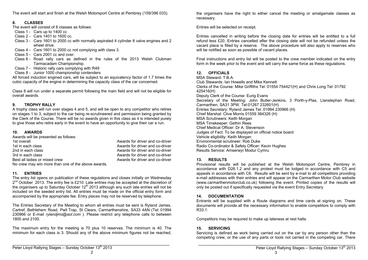The event will start and finish at the Welsh Motorsport Centre at Pembrey (159/396 033).

#### **8. CLASSES**

The event will consist of 8 classes as follows:

- Class 1 Cars up to 1400 cc
- Class 2 Cars 1401 to 1600 cc.
- Class 3 Cars 1601 to 2000 cc with normally aspirated 4 cylinder 8 valve engines and 2 wheel drive.
- Class 4 Cars 1601 to 2000 cc not complying with class 3.
- Class 5 Cars 2001 cc and over.
- Class 6 Road rally cars as defined in the rules of the 2013 Welsh Clubman Tarmacadam Championship.
- Class 7 Historic rally cars complying with R49
- Class 8 Junior 1000 championship contenders

All forced induction engined cars, will be subject to an equivalency factor of 1.7 times the cubic capacity of the engine in determining the capacity class of the car concerned.

Class 8 will run under a separate permit following the main field and will not be eligible for overall awards.

#### **9. TROPHY RALLY**

A trophy class will run over stages 4 and 5, and will be open to any competitor who retires on stages 1 to 3, subject to the car being re-scrutineered and permission being granted by the Clerk of the Course. There will be no awards given in this class as it is intended purely to give those who retire early in the event to have an opportunity to give their car a run.

#### **10. AWARDS**

Awards will be presented as follows:<br>1st overall 1st overall 1st overall Awards for driver and co-driver<br>1st in each class and compared are all the Awards for driver and co-driver 1st in each class **1st in each class** Awards for driver and co-driver<br>
2nd in each class **Awards for driver and co-driver** 2nd in each class 200 and 200 and 200 and 200 and 200 and 200 and 200 and 200 and 200 and 200 and 200 and 200 and 200 and 200 and 200 and 200 and 200 and 200 and 200 and 200 and 200 and 200 and 200 and 200 and 200 and 200 Awards for driver and co-driver<br>Awards for driver and co-driver Best all ladies or mixed crew No crew may win more than one of the above awards.

#### **11. ENTRIES**

The entry list opens on publication of these regulations and closes initially on Wednesday  $2<sup>nd</sup> October 2013. The entry fee is £210. Late entries may be accepted at the discretion of$ the organisers up to Saturday October  $12<sup>th</sup>$  2013 although any such late entries will not be included on the seeded entry list. All entries must be made on the official entry form and accompanied by the appropriate fee. Entry places may not be reserved by telephone.

The Entries Secretary of the Meeting to whom all entries must be sent is Ryland James, Cartref, Bethlehem Road, Pwll Trap, St Clears, Carmarthenshire, SA33 4AN (Tel: 01994 230966 or E-mail *rylandjms@aol.com* ). Please restrict any telephone calls to between 1800 and 2100.

The maximum entry for the meeting is 70 plus 10 reserves. The minimum is 40. The minimum for each class is 3. Should any of the above minimum figures not be reached, the organisers have the right to either cancel the meeting or amalgamate classes as necessary.

Entries will be selected on receipt.

Entries cancelled in writing before the closing date for entries will be entitled to a full refund less £20. Entries cancelled after the closing date will not be refunded unless the vacant place is filled by a reserve. The above procedure will also apply to reserves who will be notified as soon as possible of vacant places.

Final instructions and entry list will be posted to the crew member indicated on the entry form in the week prior to the event and will carry the same force as these regulations.

#### **12. OFFICIALS**

MSA Steward: T.B.A. Club Stewards: Ian Howells and Mike Kennett Clerks of the Course: Mike Griffiths Tel: 01554 754421(H) and Chris Long Tel: 01792 425416(H) Deputy Clerk of the Course: Eurig Evans Secretary of the Meeting: John Butler-Jenkins, 3 Porth-y-Plas, Llanstephan Road, Carmarthen, SA31 3PW. Tel:01267 232601(H) Entries Secretary: Ryland James Tel: 01994 230966 (H) Chief Marshal: Clive Morris 01559 384326 (H) MSA Scrutineers: Keith Morgan MSA Timekeeper: Gethin Rees Chief Medical Officer: Dr A. Stevenson Judges of Fact: To be displayed on official notice board Vehicle eligibility: Keith Morgan Environmental scrutineer: Rob Duke Radio Co-ordinator & Safety Officer: Kevin Hughes Results Service: Amserwyr Modur Cymru

#### **13. RESULTS**

Provisional results will be published at the Welsh Motorsport Centre, Pembrey in accordance with D26.1.2 and any protest must be lodged in accordance with C5 and appeals in accordance with C6. Results will be sent by e-mail to all competitors providing e-mail addresses with their entries and will appear on the Carmarthen Motor Club website (www.carmarthenmotorclub.co.uk) following the event. Printed copies of the results will only be posted out if specifically requested via the event Entry Secretary.

#### **14. DOCUMENTATION**

Entrants will be supplied with a Route diagrams and time cards at signing on. These documents will provide all the necessary information to enable competitors to comply with R33.1.

Competitors may be required to make up lateness at rest halts.

#### **15. SERVICING**

Servicing is defined as work being carried out on the car by any person other than the competing crew, or the use of any parts or tools not carried in the competing car. There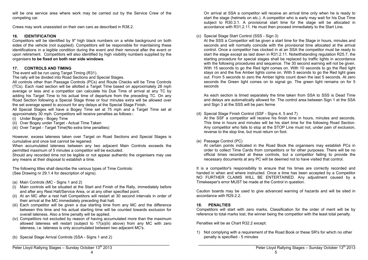will be one service area where work may be carried out by the Service Crew of the competing car.

Crews may work unassisted on their own cars as described in R38.2.

#### **16. IDENTIFICATION**

Competitors will be identified by 9" high black numbers on a white background on both sides of the vehicle (not supplied). Competitors will be responsible for maintaining these identifications in a legible condition during the event and their removal after the event or upon retirement. Competitors will also identified by high visibility numbers supplied by the organisers **to be fixed on both rear side windows**.

#### **17. CONTROLS AND TIMING**

The event will be run using Target Timing (R31).

The rally will be divided into Road Sections and Special Stages.

All controls other than Passage Controls (PCs) and Route Checks will be Time Controls (TCs). Each road section will be allotted a Target Time based on approximately 28 mph average or less and a competitor can calculate his Due Time of arrival at any TC by adding his Target Time to his actual time of departure from the preceding TC. On any Road Section following a Special Stage three or four minutes extra will be allowed over the set average speed to account for any delays at the Special Stage Finish.

All Special Stages will have a Bogey Time set at 75 mph and a Target Time set at approximately 30 mph. Competitors will receive penalties as follows:-

(i) Under Bogey - Bogey Time

- (ii) Over Bogey under Target Actual Time Taken
- (iii) Over Target Target Time(No extra time penalties)

However, excess lateness taken over Target on Road Sections and Special Stages is cumulative and once lost cannot be regained.

When accumulated lateness between any two adjacent Main Controls exceeds the permitted maximum of 5 minutes a competitor will be excluded.

Should any recorded time not be legible or not appear authentic the organisers may use any means at their disposal to establish a time.

The following titles shall describe the various types of Time Controls: (See Drawing nr 29.1.4 for description of signs).

- (a) Main Controls (MC Signs 1 and 2)
- (i) Main controls will be situated at the Start and Finish of the Rally, immediately before and after any Rest Halt/Service Area, or at any other specified point.
- (ii) At an MC after a rest halt Competitors will restart at 30 second intervals in order of their arrival at the MC immediately preceding that halt.
- (iii) Each competitor will be given a due starting time from any MC and the difference between this time and his actual starting time will be counted towards exclusion for overall lateness. Also a time penalty will be applied.
- (iv) Competitors not excluded by reason of having accumulated more than the maximum allowed lateness will restart (subject to  $17(a)(iii)$  above) from any MC with zero lateness, i.e. lateness is only accumulated between two adjacent MC's.
- (b) Special Stage Arrival Controls (SSA Signs 1 and 2)

On arrival at SSA a competitor will receive an arrival time only when he is ready to start the stage (helmets on etc.). A competitor who is early may wait for his Due Time subject to R30.3.1. A provisional start time for the stage will be allocated in accordance with R31.2.11. He must then proceed immediately to the Start Line.

#### (c) Special Stage Start Control (SSS - Sign 3)

At the SSS a Competitor will be given a start time for the Stage in hours, minutes and seconds and will normally coincide with the provisional time allocated at the arrival control. Once a competitor has clocked in at an SSA the competitor must be ready to start the stage except as laid down in R31.2.11. Notwithstanding regulation R25.7, the starting procedure for special stages shall be replaced by traffic lights in accordance with the following procedures and sequence. The 30 second warning will not be given. With 15 seconds to go the Red light comes on. With 10 seconds to go the Red light stays on and the five Amber lights come on. With 5 seconds to go the Red light goes out. From 5 seconds to zero the Amber lights count down the last 5 seconds. At zero seconds the Green light comes on to signal go. The green light remains on for 5 seconds

As each section is timed separately the time taken from SSA to SSS is Dead Time and delays are automatically allowed for. The control area between Sign 1 at the SSA and Sign 3 at the SSS will be parc ferme

#### (d) Special Stage Finish Control (SSF - Signs 4, 5 and 7)

At the SSF a competitor will receive his finish time in hours, minutes and seconds. This time in hours and minutes will be his start time for the following Road Section. Any competitor who fails to stop at the STOP Line must not, under pain of exclusion, reverse to the stop line, but must return on foot.

#### (e) Passage Control (PC)

At certain points indicated in the Road Book the organisers may establish PCs in order to collect Time Cards from competitors or for other purposes. There will be no official times recorded at these controls, but a competitor failing to provide the necessary documents at any PC will be deemed not to have visited that control.

It is a competitor's responsibility to ensure that his times are correctly recorded and handed in when and where instructed. Once a time has been accepted by a Competitor NO FURTHER CLAIMS WILL BE ENTERTAINED. Any adjustment caused by a Timekeeper's error MUST be made at the Control in question.

Caution boards may be used to give advanced warning of hazards and will be sited in accordance with R29.2.2.

#### **18. PENALTIES**

Competitors will start with zero marks. Classification for the order of merit will be by reference to total marks lost, the winner being the competitor with the least total penalty.

Penalties will be as Chart R32.2 except:

1) Not complying with a requirement of the Road Book or these SR's for which no other penalty is specified - 5 minutes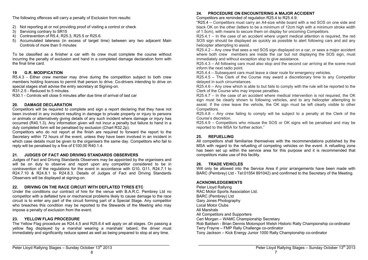The following offences will carry a penalty of Exclusion from results:

- 2) Not reporting at or not providing proof of visiting a control or check
- 3) Servicing contrary to SR15
- 4) Contravention of R5.4, R25.3, R25.5 or R25.6.
- 5) Accumulated lateness (in excess of target time) between any two adjacent Main Controls of more than 5 minutes

To be classified as a finisher a car with its crew must complete the course without incurring the penalty of exclusion and hand in a completed damage declaration form with the final time card.

#### **19 G.R. MODIFICATION**

R5.4.3 - Either crew member may drive during the competition subject to both crew members holding licences to permit that person to drive. Co-drivers intending to drive on special stages shall advise the entry secretary at Signing-on.

R31.2.5 - Reduced to 5 minutes.

R30.1 - Controls will close 5 minutes after due time of arrival of last car

#### **20. DAMAGE DECLARATION**

Competitors will be required to complete and sign a report declaring that they have not been involved in any incident resulting in damage to private property or injury to persons or animals or alternatively giving details of any such incident where damage or injury has occurred (R40.1.3). Any information given will not incur a penalty but failure to hand in a duly completed form will be penalised by exclusion (Chart R32.2p).

Competitors who do not report at the finish are required to forward the report to the Secretary within 72 hours of the event, unless they have been involved in an incident in which case details must be given to the organisers the same day. Competitors who fail to reply will be penalised by a fine of £100.00 R40.1.4.

#### **21. JUDGES OF FACT AND DRIVING STANDARDS OBSERVERS**

Judges of Fact and Driving Standards Observers may be appointed by the organisers and will be on duty to observe and report upon any competitor considered to be in contravention of the regulations for the event in accordance with G10, G11, R24.7.1 to R24.7.10 & R24.8.1 to R24.8.3. Details of Judges of Fact and Driving Standards Observers will be displayed at signing-on.

#### **22. DRIVING ON THE RACE CIRCUIT WITH DEFLATED TYRES ETC**

Under the conditions our contract of hire for the venue with B.A.R.C. Pembrey Ltd no competitor with a deflated tyre or mechanical problems likely to cause damage to the race circuit is to enter any part of the circuit forming part of a Special Stage. Any competitor who breaches this condition may be reported to the Stewards of the Meeting who may impose a penalty of exclusion from the event.

#### **23. YELLOW FLAG PROCEDURE**

The Yellow Flag procedure as R24.4.5 and R25.6.4 will apply on all stages. On passing a yellow flag displayed by a marshal wearing a marshals' tabard, the driver must immediately and significantly reduce speed as well as being prepared to stop at any time.

#### **24. PROCEDURE ON ENCOUNTERING A MAJOR ACCIDENT**

Competitors are reminded of regulation R25.4 to R25.4.9:

"R25.4 – Competitors must carry an A4-size white board with a red SOS on one side and black OK on the other (letters to be a minimum of 12cm high with a minimum stroke width of 1.5cm), with means to secure them on display for oncoming Competitors.

R25.4.1 – In the case of an accident where urgent medical attention is required, the red SOS sign should be displayed as quickly as possible to alert following cars and aid any helicopter attempting to assist.

R25.4.2 – Any crew that sees a red SOS sign displayed on a car, or sees a major accident where both crew members are inside the car but not displaying the SOS sign, must immediately and without exception stop to give assistance.

R25.4.3 – All following cars must also stop and the second car arriving at the scene must inform the next radio point.

R25.4.4 – Subsequent cars must leave a clear route for emergency vehicles.

R25.4.5 – The Clerk of the Course may award a discretionary time to any Competitor delayed in such circumstances.

R25.4.6 – Any crew which is able to but fails to comply with the rule will be reported to the Clerk of the Course who may impose penalties.

R25.4.7 – In the case of an accident where medical intervention is not required, the OK sign must be clearly shown to following vehicles, and to any helicopter attempting to assist. If the crew leave the vehicle, the OK sign must be left clearly visible to other Competitors.

R25.4.8 – Any crew failing to comply will be subject to a penalty at the Clerk of the Course's discretion.

R25.4.9 – Competitors who misuse the SOS or OK signs will be penalised and may be reported to the MSA for further action."

#### **25. REFUELLING**

All competitors shall familiarise themselves with the recommendations published by the MSA with regard to the refuelling of competing vehicles on the event. A refuelling zone has been set up within the service area for this purpose and it is recommended that competitors make use of this facility.

#### **26. TRADE VEHICLES**

Will only be allowed into the Service Area if prior arrangements have been made with BARC (Pembrey) Ltd - Tel:01554 891042) and confirmed to the Secretary of the Meeting.

#### **ACKNOWLEDGEMENTS**

Peter Lloyd Rallying RAC Motor Sports Association Ltd. BARC (Pembrey) Ltd Gary Jones Photography Local Motor Clubs All Marshals All Competitors and Supporters Ceri Morgan – WAMC Championship Secretary Rob Baldwin - Brian Dennis Motorsport Welsh Historic Rally Championship co-ordinator Terry Frayne – FMP Rally Challenge co-ordinator Tony Jackson – Kick Energy Junior 1000 Rally Championship co-ordinator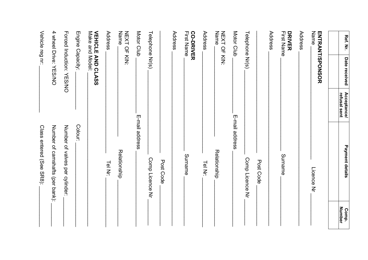| Ref. Nr.                              | Date received            | Acceptance/<br>refusal sent | Payment details                 | Comp.         |
|---------------------------------------|--------------------------|-----------------------------|---------------------------------|---------------|
|                                       |                          |                             |                                 | <b>Number</b> |
| Name                                  | <b>ENTRANT/SPONSOR</b>   |                             | Licence<br>Nr                   |               |
| Address                               |                          |                             |                                 |               |
| <b>First Name</b><br><b>DRIVER</b>    |                          |                             | Surname                         |               |
| Address                               |                          |                             |                                 |               |
|                                       |                          |                             | Post Code                       |               |
| Telephone Nr(s)                       |                          |                             | Comp Licence Nr                 |               |
| Motor Club                            |                          |                             | E-mail address                  |               |
| NEXT OF KIN:<br>Name                  |                          |                             | Relationship                    |               |
| Address                               |                          |                             | Tel Nr:                         |               |
| <b>CO-DRIVER</b><br><b>First Name</b> |                          |                             | Surname                         |               |
| Address                               |                          |                             |                                 |               |
|                                       |                          |                             | Post Code                       |               |
| Telephone Nr(s)                       |                          |                             | Comp Licence Nr                 |               |
| Motor Club                            |                          |                             | E-mail address                  |               |
| Name<br>NEXT OF KIN:                  |                          |                             | Relationship                    |               |
| Address                               |                          |                             | Tel Nr:                         |               |
| Make and Model:                       | <b>VEHICLE AND CLASS</b> |                             |                                 |               |
| Engine Capacity:                      |                          |                             | Colour:                         |               |
|                                       | Forced Induction: YES/NO |                             | Number of valves per cylinder:  |               |
|                                       | 4 wheel Drive: YES/NO    |                             | Number of camshafts (per bank): |               |
| Vehicle reg nr:                       |                          |                             | Class entered (See SR8):        |               |